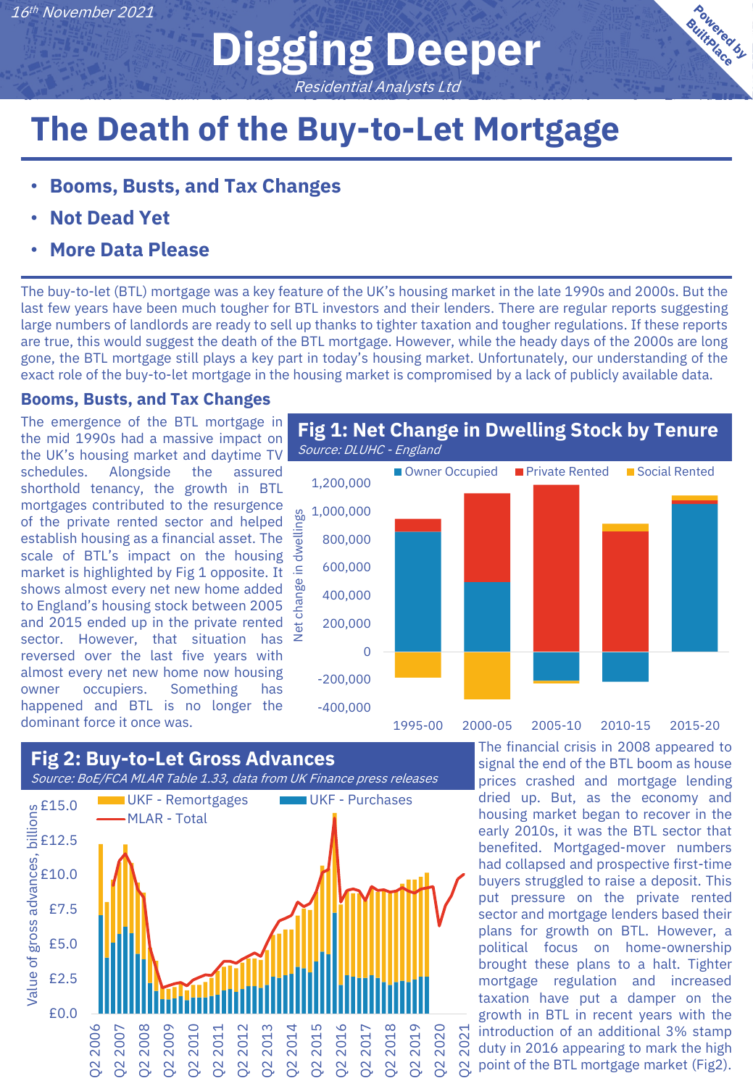**Digging Deeper** Residential Analysts Ltd

## **The Death of the Buy-to-Let Mortgage**

- **Booms, Busts, and Tax Changes**
- **Not Dead Yet**
- **More Data Please**

The buy-to-let (BTL) mortgage was a key feature of the UK's housing market in the late 1990s and 2000s. But the last few years have been much tougher for BTL investors and their lenders. There are regular reports suggesting large numbers of landlords are ready to sell up thanks to tighter taxation and tougher regulations. If these reports are true, this would suggest the death of the BTL mortgage. However, while the heady days of the 2000s are long gone, the BTL mortgage still plays a key part in today's housing market. Unfortunately, our understanding of the exact role of the buy-to-let mortgage in the housing market is compromised by a lack of publicly available data.

#### **Booms, Busts, and Tax Changes**

The emergence of the BTL mortgage in the mid 1990s had a massive impact on the UK's housing market and daytime TV schedules. Alongside the assured shorthold tenancy, the growth in BTL mortgages contributed to the resurgence of the private rented sector and helped establish housing as a financial asset. The scale of BTL's impact on the housing market is highlighted by Fig 1 opposite. It shows almost every net new home added to England's housing stock between 2005 and 2015 ended up in the private rented sector. However, that situation has reversed over the last five years with almost every net new home now housing owner occupiers. Something has happened and BTL is no longer the dominant force it once was.





The financial crisis in 2008 appeared to signal the end of the BTL boom as house prices crashed and mortgage lending dried up. But, as the economy and housing market began to recover in the early 2010s, it was the BTL sector that benefited. Mortgaged-mover numbers had collapsed and prospective first-time buyers struggled to raise a deposit. This put pressure on the private rented sector and mortgage lenders based their plans for growth on BTL. However, a political focus on home-ownership brought these plans to a halt. Tighter mortgage regulation and increased taxation have put a damper on the growth in BTL in recent years with the introduction of an additional 3% stamp duty in 2016 appearing to mark the high point of the BTL mortgage market (Fig2).

**Bowered by**